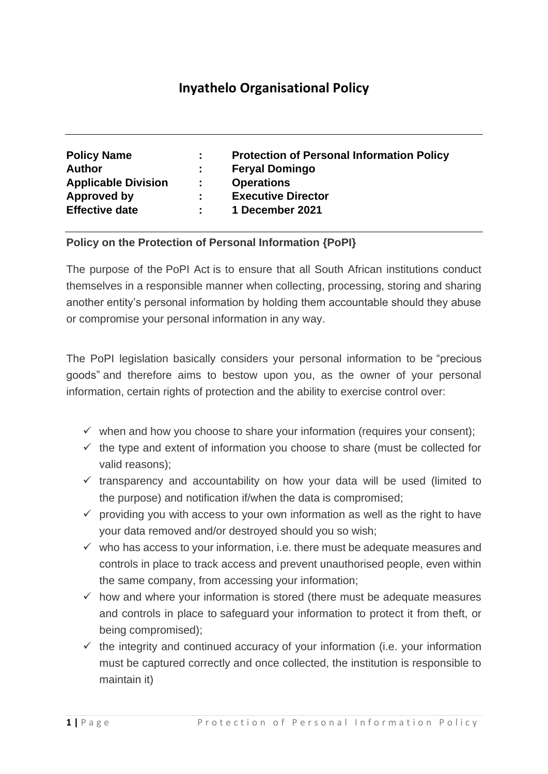# **Inyathelo Organisational Policy**

| <b>Policy Name</b>         | ÷. | <b>Protection of Personal Information Policy</b> |
|----------------------------|----|--------------------------------------------------|
| <b>Author</b>              | ÷. | <b>Feryal Domingo</b>                            |
| <b>Applicable Division</b> | ÷. | <b>Operations</b>                                |
| Approved by                |    | <b>Executive Director</b>                        |
| <b>Effective date</b>      |    | 1 December 2021                                  |

## **Policy on the Protection of Personal Information {PoPI}**

The purpose of the PoPI Act is to ensure that all South African institutions conduct themselves in a responsible manner when collecting, processing, storing and sharing another entity's personal information by holding them accountable should they abuse or compromise your personal information in any way.

The PoPI legislation basically considers your personal information to be "precious goods" and therefore aims to bestow upon you, as the owner of your personal information, certain rights of protection and the ability to exercise control over:

- $\checkmark$  when and how you choose to share your information (requires your consent);
- $\checkmark$  the type and extent of information you choose to share (must be collected for valid reasons);
- $\checkmark$  transparency and accountability on how your data will be used (limited to the purpose) and notification if/when the data is compromised;
- $\checkmark$  providing you with access to your own information as well as the right to have your data removed and/or destroyed should you so wish;
- $\checkmark$  who has access to your information, i.e. there must be adequate measures and controls in place to track access and prevent unauthorised people, even within the same company, from accessing your information;
- $\checkmark$  how and where your information is stored (there must be adequate measures and controls in place to safeguard your information to protect it from theft, or being compromised);
- $\checkmark$  the integrity and continued accuracy of your information (i.e. your information must be captured correctly and once collected, the institution is responsible to maintain it)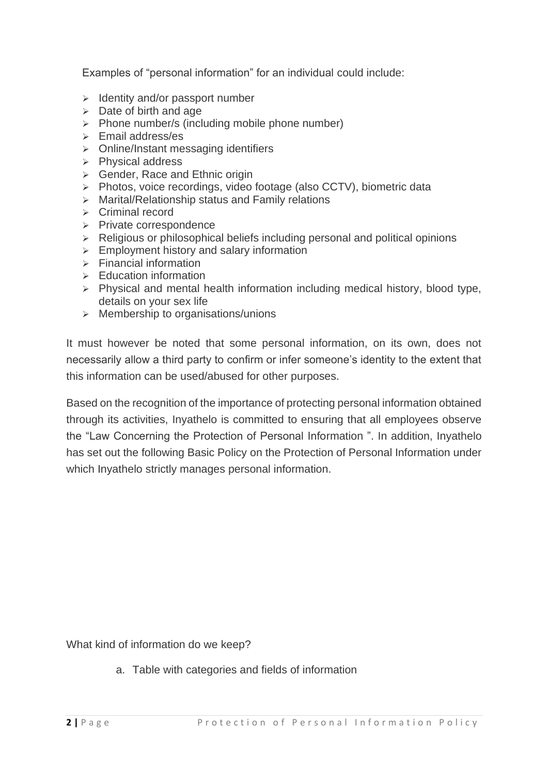Examples of "personal information" for an individual could include:

- ➢ Identity and/or passport number
- $\geq$  Date of birth and age
- ➢ Phone number/s (including mobile phone number)
- ➢ Email address/es
- ➢ Online/Instant messaging identifiers
- ➢ Physical address
- ➢ Gender, Race and Ethnic origin
- ➢ Photos, voice recordings, video footage (also CCTV), biometric data
- ➢ Marital/Relationship status and Family relations
- ➢ Criminal record
- ➢ Private correspondence
- ➢ Religious or philosophical beliefs including personal and political opinions
- $\geq$  Employment history and salary information
- $\triangleright$  Financial information
- $\triangleright$  Education information
- $\triangleright$  Physical and mental health information including medical history, blood type, details on your sex life
- ➢ Membership to organisations/unions

It must however be noted that some personal information, on its own, does not necessarily allow a third party to confirm or infer someone's identity to the extent that this information can be used/abused for other purposes.

Based on the recognition of the importance of protecting personal information obtained through its activities, Inyathelo is committed to ensuring that all employees observe the "Law Concerning the Protection of Personal Information ". In addition, Inyathelo has set out the following Basic Policy on the Protection of Personal Information under which Inyathelo strictly manages personal information.

What kind of information do we keep?

a. Table with categories and fields of information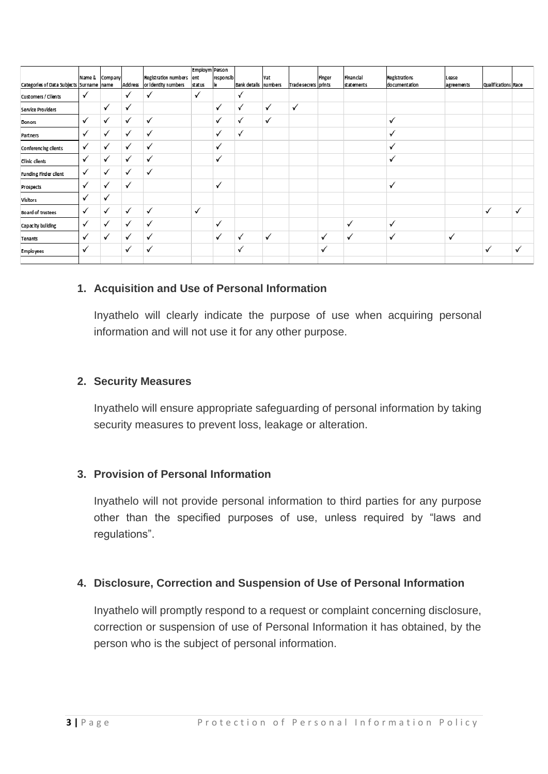| Categories of Data Subjects Surname name |              | Name & Company | Address      | Registration numbers<br>or Identity numbers | Employm Person<br>ent<br>status | responsib<br>le | Bank detalls numbers | Vat          | Trade secrets prints | Finger | Financial<br>statements | Registrations<br>documentation | Lease<br>agreements | Qualifications Race |              |
|------------------------------------------|--------------|----------------|--------------|---------------------------------------------|---------------------------------|-----------------|----------------------|--------------|----------------------|--------|-------------------------|--------------------------------|---------------------|---------------------|--------------|
| Customers / Clients                      | ✓            |                | ✓            | √                                           | ✓                               |                 | $\checkmark$         |              |                      |        |                         |                                |                     |                     |              |
| Service Providers                        |              | ✓              | ✓            |                                             |                                 | ✓               | $\checkmark$         | $\checkmark$ | ✓                    |        |                         |                                |                     |                     |              |
| Donors                                   | ✓            | ✓              | ✓            | ✓                                           |                                 | ✓               | $\checkmark$         | $\checkmark$ |                      |        |                         | $\checkmark$                   |                     |                     |              |
| Partners                                 | $\checkmark$ | ✓              | ✓            | $\checkmark$                                |                                 | ✓               | $\checkmark$         |              |                      |        |                         | $\checkmark$                   |                     |                     |              |
| Conferencing clients                     | $\checkmark$ | ✓              | √            | $\checkmark$                                |                                 | ✓               |                      |              |                      |        |                         | ✓                              |                     |                     |              |
| Clinic clients                           | ✓            | ✓              | $\checkmark$ | ✓                                           |                                 | ✓               |                      |              |                      |        |                         | √                              |                     |                     |              |
| Funding Finder client                    | ✓            | ✓              | $\checkmark$ | √                                           |                                 |                 |                      |              |                      |        |                         |                                |                     |                     |              |
| Prospects                                | ✓            | ✓              | ✓            |                                             |                                 | ✓               |                      |              |                      |        |                         | $\checkmark$                   |                     |                     |              |
| Visitors                                 | ✓            | √              |              |                                             |                                 |                 |                      |              |                      |        |                         |                                |                     |                     |              |
| Board of trustees                        | ✓            | ✓              | √            | $\checkmark$                                | $\checkmark$                    |                 |                      |              |                      |        |                         |                                |                     | ✓                   | $\checkmark$ |
| Capacity building                        | √            | ✓              | ✓            | √                                           |                                 | ✓               |                      |              |                      |        | $\checkmark$            | $\checkmark$                   |                     |                     |              |
| Tenants                                  | ✓            | ✓              | ✓            | $\checkmark$                                |                                 | ✓               | ✓                    | ✓            |                      | ✓      | $\checkmark$            | $\checkmark$                   | ✓                   |                     |              |
| Employees                                | $\checkmark$ |                | ✓            | ✓                                           |                                 |                 | ✓                    |              |                      | ✓      |                         |                                |                     | ✓                   | $\checkmark$ |
|                                          |              |                |              |                                             |                                 |                 |                      |              |                      |        |                         |                                |                     |                     |              |

## **1. Acquisition and Use of Personal Information**

Inyathelo will clearly indicate the purpose of use when acquiring personal information and will not use it for any other purpose.

#### **2. Security Measures**

Inyathelo will ensure appropriate safeguarding of personal information by taking security measures to prevent loss, leakage or alteration.

#### **3. Provision of Personal Information**

Inyathelo will not provide personal information to third parties for any purpose other than the specified purposes of use, unless required by "laws and regulations".

#### **4. Disclosure, Correction and Suspension of Use of Personal Information**

Inyathelo will promptly respond to a request or complaint concerning disclosure, correction or suspension of use of Personal Information it has obtained, by the person who is the subject of personal information.